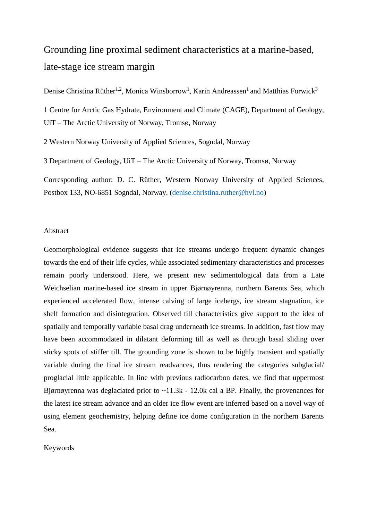# Grounding line proximal sediment characteristics at a marine-based, late-stage ice stream margin

Denise Christina Rüther<sup>1,2</sup>, Monica Winsborrow<sup>1</sup>, Karin Andreassen<sup>1</sup> and Matthias Forwick<sup>3</sup>

1 Centre for Arctic Gas Hydrate, Environment and Climate (CAGE), Department of Geology, UiT – The Arctic University of Norway, Tromsø, Norway

2 Western Norway University of Applied Sciences, Sogndal, Norway

3 Department of Geology, UiT – The Arctic University of Norway, Tromsø, Norway

Corresponding author: D. C. Rüther, Western Norway University of Applied Sciences, Postbox 133, NO-6851 Sogndal, Norway. [\(denise.christina.ruther@hvl.no\)](mailto:denise.christina.ruther@hvl.no)

#### Abstract

Geomorphological evidence suggests that ice streams undergo frequent dynamic changes towards the end of their life cycles, while associated sedimentary characteristics and processes remain poorly understood. Here, we present new sedimentological data from a Late Weichselian marine-based ice stream in upper Bjørnøyrenna, northern Barents Sea, which experienced accelerated flow, intense calving of large icebergs, ice stream stagnation, ice shelf formation and disintegration. Observed till characteristics give support to the idea of spatially and temporally variable basal drag underneath ice streams. In addition, fast flow may have been accommodated in dilatant deforming till as well as through basal sliding over sticky spots of stiffer till. The grounding zone is shown to be highly transient and spatially variable during the final ice stream readvances, thus rendering the categories subglacial/ proglacial little applicable. In line with previous radiocarbon dates, we find that uppermost Bjørnøyrenna was deglaciated prior to  $\sim$ 11.3k - 12.0k cal a BP. Finally, the provenances for the latest ice stream advance and an older ice flow event are inferred based on a novel way of using element geochemistry, helping define ice dome configuration in the northern Barents Sea.

Keywords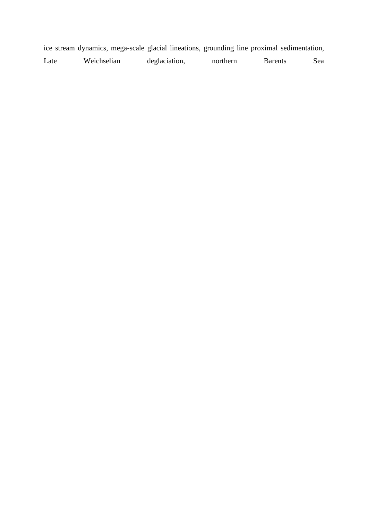ice stream dynamics, mega-scale glacial lineations, grounding line proximal sedimentation,

| Weichselian<br>deglaciation,<br>Late<br>northern | Barents<br>sea |
|--------------------------------------------------|----------------|
|--------------------------------------------------|----------------|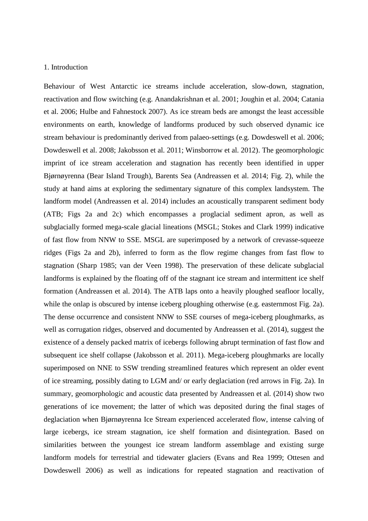#### 1. Introduction

Behaviour of West Antarctic ice streams include acceleration, slow-down, stagnation, reactivation and flow switching (e.g. Anandakrishnan et al. 2001; Joughin et al. 2004; Catania et al. 2006; Hulbe and Fahnestock 2007). As ice stream beds are amongst the least accessible environments on earth, knowledge of landforms produced by such observed dynamic ice stream behaviour is predominantly derived from palaeo-settings (e.g. Dowdeswell et al. 2006; Dowdeswell et al. 2008; Jakobsson et al. 2011; Winsborrow et al. 2012). The geomorphologic imprint of ice stream acceleration and stagnation has recently been identified in upper Bjørnøyrenna (Bear Island Trough), Barents Sea (Andreassen et al. 2014; Fig. 2), while the study at hand aims at exploring the sedimentary signature of this complex landsystem. The landform model (Andreassen et al. 2014) includes an acoustically transparent sediment body (ATB; Figs 2a and 2c) which encompasses a proglacial sediment apron, as well as subglacially formed mega-scale glacial lineations (MSGL; Stokes and Clark 1999) indicative of fast flow from NNW to SSE. MSGL are superimposed by a network of crevasse-squeeze ridges (Figs 2a and 2b), inferred to form as the flow regime changes from fast flow to stagnation (Sharp 1985; van der Veen 1998). The preservation of these delicate subglacial landforms is explained by the floating off of the stagnant ice stream and intermittent ice shelf formation (Andreassen et al. 2014). The ATB laps onto a heavily ploughed seafloor locally, while the onlap is obscured by intense iceberg ploughing otherwise (e.g. easternmost Fig. 2a). The dense occurrence and consistent NNW to SSE courses of mega-iceberg ploughmarks, as well as corrugation ridges, observed and documented by Andreassen et al. (2014), suggest the existence of a densely packed matrix of icebergs following abrupt termination of fast flow and subsequent ice shelf collapse (Jakobsson et al. 2011). Mega-iceberg ploughmarks are locally superimposed on NNE to SSW trending streamlined features which represent an older event of ice streaming, possibly dating to LGM and/ or early deglaciation (red arrows in Fig. 2a). In summary, geomorphologic and acoustic data presented by Andreassen et al*.* (2014) show two generations of ice movement; the latter of which was deposited during the final stages of deglaciation when Bjørnøyrenna Ice Stream experienced accelerated flow, intense calving of large icebergs, ice stream stagnation, ice shelf formation and disintegration. Based on similarities between the youngest ice stream landform assemblage and existing surge landform models for terrestrial and tidewater glaciers (Evans and Rea 1999; Ottesen and Dowdeswell 2006) as well as indications for repeated stagnation and reactivation of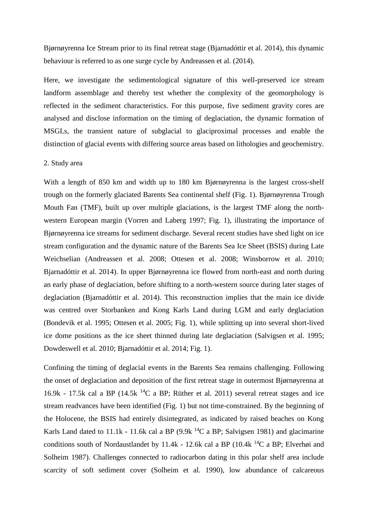Bjørnøyrenna Ice Stream prior to its final retreat stage (Bjarnadóttir et al. 2014), this dynamic behaviour is referred to as one surge cycle by Andreassen et al. (2014).

Here, we investigate the sedimentological signature of this well-preserved ice stream landform assemblage and thereby test whether the complexity of the geomorphology is reflected in the sediment characteristics. For this purpose, five sediment gravity cores are analysed and disclose information on the timing of deglaciation, the dynamic formation of MSGLs, the transient nature of subglacial to glaciproximal processes and enable the distinction of glacial events with differing source areas based on lithologies and geochemistry.

#### 2. Study area

With a length of 850 km and width up to 180 km Bjørnøyrenna is the largest cross-shelf trough on the formerly glaciated Barents Sea continental shelf (Fig. 1). Bjørnøyrenna Trough Mouth Fan (TMF), built up over multiple glaciations, is the largest TMF along the northwestern European margin (Vorren and Laberg 1997; Fig. 1), illustrating the importance of Bjørnøyrenna ice streams for sediment discharge. Several recent studies have shed light on ice stream configuration and the dynamic nature of the Barents Sea Ice Sheet (BSIS) during Late Weichselian (Andreassen et al. 2008; Ottesen et al. 2008; Winsborrow et al. 2010; Bjarnadóttir et al. 2014). In upper Bjørnøyrenna ice flowed from north-east and north during an early phase of deglaciation, before shifting to a north-western source during later stages of deglaciation (Bjarnadóttir et al. 2014). This reconstruction implies that the main ice divide was centred over Storbanken and Kong Karls Land during LGM and early deglaciation (Bondevik et al. 1995; Ottesen et al. 2005; Fig. 1), while splitting up into several short-lived ice dome positions as the ice sheet thinned during late deglaciation (Salvigsen et al. 1995; Dowdeswell et al. 2010; Bjarnadóttir et al. 2014; Fig. 1).

Confining the timing of deglacial events in the Barents Sea remains challenging. Following the onset of deglaciation and deposition of the first retreat stage in outermost Bjørnøyrenna at 16.9k - 17.5k cal a BP (14.5k  $^{14}C$  a BP; Rüther et al. 2011) several retreat stages and ice stream readvances have been identified (Fig. 1) but not time-constrained. By the beginning of the Holocene, the BSIS had entirely disintegrated, as indicated by raised beaches on Kong Karls Land dated to 11.1k - 11.6k cal a BP  $(9.9k<sup>14</sup>C a BP; Salvigsen 1981)$  and glacimarine conditions south of Nordaustlandet by 11.4k - 12.6k cal a BP (10.4k  $^{14}C$  a BP; Elverhøi and Solheim 1987). Challenges connected to radiocarbon dating in this polar shelf area include scarcity of soft sediment cover (Solheim et al. 1990), low abundance of calcareous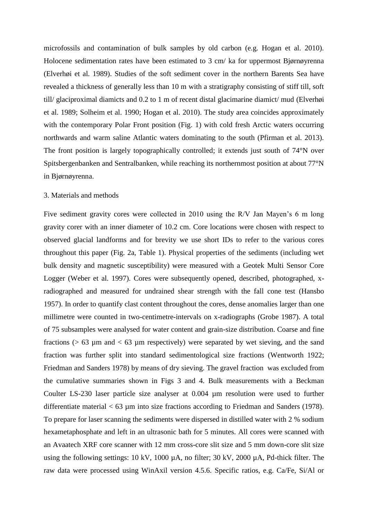microfossils and contamination of bulk samples by old carbon (e.g. Hogan et al. 2010). Holocene sedimentation rates have been estimated to 3 cm/ ka for uppermost Bjørnøyrenna (Elverhøi et al. 1989). Studies of the soft sediment cover in the northern Barents Sea have revealed a thickness of generally less than 10 m with a stratigraphy consisting of stiff till, soft till/ glaciproximal diamicts and 0.2 to 1 m of recent distal glacimarine diamict/ mud (Elverhøi et al. 1989; Solheim et al. 1990; Hogan et al. 2010). The study area coincides approximately with the contemporary Polar Front position (Fig. 1) with cold fresh Arctic waters occurring northwards and warm saline Atlantic waters dominating to the south (Pfirman et al. 2013). The front position is largely topographically controlled; it extends just south of 74°N over Spitsbergenbanken and Sentralbanken, while reaching its northernmost position at about 77°N in Bjørnøyrenna.

#### 3. Materials and methods

Five sediment gravity cores were collected in 2010 using the R/V Jan Mayen's 6 m long gravity corer with an inner diameter of 10.2 cm. Core locations were chosen with respect to observed glacial landforms and for brevity we use short IDs to refer to the various cores throughout this paper (Fig. 2a, Table 1). Physical properties of the sediments (including wet bulk density and magnetic susceptibility) were measured with a Geotek Multi Sensor Core Logger (Weber et al. 1997). Cores were subsequently opened, described, photographed, xradiographed and measured for undrained shear strength with the fall cone test (Hansbo 1957). In order to quantify clast content throughout the cores, dense anomalies larger than one millimetre were counted in two-centimetre-intervals on x-radiographs (Grobe 1987). A total of 75 subsamples were analysed for water content and grain-size distribution. Coarse and fine fractions ( $> 63 \mu$ m and  $< 63 \mu$ m respectively) were separated by wet sieving, and the sand fraction was further split into standard sedimentological size fractions (Wentworth 1922; Friedman and Sanders 1978) by means of dry sieving. The gravel fraction was excluded from the cumulative summaries shown in Figs 3 and 4. Bulk measurements with a Beckman Coulter LS-230 laser particle size analyser at 0.004 µm resolution were used to further differentiate material  $< 63 \mu m$  into size fractions according to Friedman and Sanders (1978). To prepare for laser scanning the sediments were dispersed in distilled water with 2 % sodium hexametaphosphate and left in an ultrasonic bath for 5 minutes. All cores were scanned with an Avaatech XRF core scanner with 12 mm cross-core slit size and 5 mm down-core slit size using the following settings: 10 kV, 1000 µA, no filter; 30 kV, 2000 µA, Pd-thick filter. The raw data were processed using WinAxil version 4.5.6. Specific ratios, e.g. Ca/Fe, Si/Al or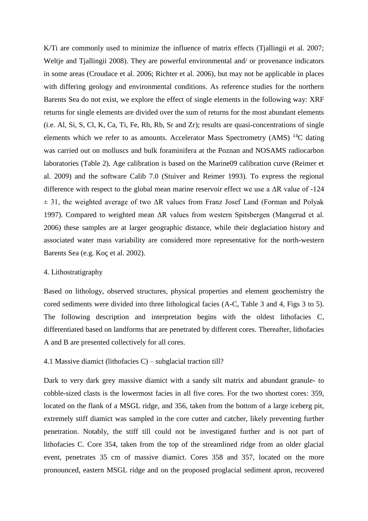K/Ti are commonly used to minimize the influence of matrix effects (Tjallingii et al. 2007; Weltje and Tjallingii 2008). They are powerful environmental and/ or provenance indicators in some areas (Croudace et al. 2006; Richter et al. 2006), but may not be applicable in places with differing geology and environmental conditions. As reference studies for the northern Barents Sea do not exist, we explore the effect of single elements in the following way: XRF returns for single elements are divided over the sum of returns for the most abundant elements (i.e. Al, Si, S, Cl, K, Ca, Ti, Fe, Rh, Rb, Sr and Zr); results are quasi-concentrations of single elements which we refer to as amounts. Accelerator Mass Spectrometry (AMS)  $^{14}C$  dating was carried out on molluscs and bulk foraminifera at the Poznan and NOSAMS radiocarbon laboratories (Table 2). Age calibration is based on the Marine09 calibration curve (Reimer et al. 2009) and the software Calib 7.0 (Stuiver and Reimer 1993). To express the regional difference with respect to the global mean marine reservoir effect we use a ΔR value of -124  $\pm$  31, the weighted average of two  $\Delta R$  values from Franz Josef Land (Forman and Polyak 1997). Compared to weighted mean ΔR values from western Spitsbergen (Mangerud et al. 2006) these samples are at larger geographic distance, while their deglaciation history and associated water mass variability are considered more representative for the north-western Barents Sea (e.g. Koç et al. 2002).

#### 4. Lithostratigraphy

Based on lithology, observed structures, physical properties and element geochemistry the cored sediments were divided into three lithological facies (A-C, Table 3 and 4, Figs 3 to 5). The following description and interpretation begins with the oldest lithofacies C, differentiated based on landforms that are penetrated by different cores. Thereafter, lithofacies A and B are presented collectively for all cores.

#### 4.1 Massive diamict (lithofacies C) – subglacial traction till?

Dark to very dark grey massive diamict with a sandy silt matrix and abundant granule- to cobble-sized clasts is the lowermost facies in all five cores. For the two shortest cores: 359, located on the flank of a MSGL ridge, and 356, taken from the bottom of a large iceberg pit, extremely stiff diamict was sampled in the core cutter and catcher, likely preventing further penetration. Notably, the stiff till could not be investigated further and is not part of lithofacies C. Core 354, taken from the top of the streamlined ridge from an older glacial event, penetrates 35 cm of massive diamict. Cores 358 and 357, located on the more pronounced, eastern MSGL ridge and on the proposed proglacial sediment apron, recovered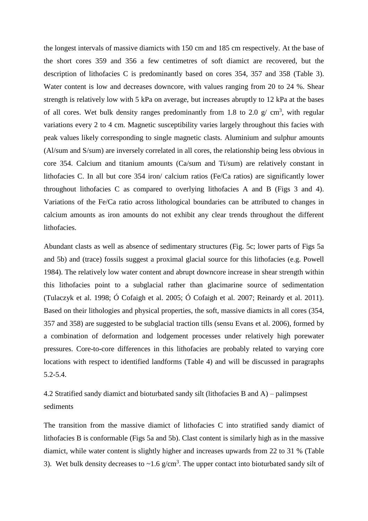the longest intervals of massive diamicts with 150 cm and 185 cm respectively. At the base of the short cores 359 and 356 a few centimetres of soft diamict are recovered, but the description of lithofacies C is predominantly based on cores 354, 357 and 358 (Table 3). Water content is low and decreases downcore, with values ranging from 20 to 24 %. Shear strength is relatively low with 5 kPa on average, but increases abruptly to 12 kPa at the bases of all cores. Wet bulk density ranges predominantly from 1.8 to 2.0  $g/cm^3$ , with regular variations every 2 to 4 cm. Magnetic susceptibility varies largely throughout this facies with peak values likely corresponding to single magnetic clasts. Aluminium and sulphur amounts (Al/sum and S/sum) are inversely correlated in all cores, the relationship being less obvious in core 354. Calcium and titanium amounts (Ca/sum and Ti/sum) are relatively constant in lithofacies C. In all but core 354 iron/ calcium ratios (Fe/Ca ratios) are significantly lower throughout lithofacies C as compared to overlying lithofacies A and B (Figs 3 and 4). Variations of the Fe/Ca ratio across lithological boundaries can be attributed to changes in calcium amounts as iron amounts do not exhibit any clear trends throughout the different lithofacies.

Abundant clasts as well as absence of sedimentary structures (Fig. 5c; lower parts of Figs 5a and 5b) and (trace) fossils suggest a proximal glacial source for this lithofacies (e.g. Powell 1984). The relatively low water content and abrupt downcore increase in shear strength within this lithofacies point to a subglacial rather than glacimarine source of sedimentation (Tulaczyk et al. 1998; Ó Cofaigh et al. 2005; Ó Cofaigh et al. 2007; Reinardy et al. 2011). Based on their lithologies and physical properties, the soft, massive diamicts in all cores (354, 357 and 358) are suggested to be subglacial traction tills (sensu Evans et al. 2006), formed by a combination of deformation and lodgement processes under relatively high porewater pressures. Core-to-core differences in this lithofacies are probably related to varying core locations with respect to identified landforms (Table 4) and will be discussed in paragraphs 5.2-5.4.

4.2 Stratified sandy diamict and bioturbated sandy silt (lithofacies B and A) – palimpsest sediments

The transition from the massive diamict of lithofacies C into stratified sandy diamict of lithofacies B is conformable (Figs 5a and 5b). Clast content is similarly high as in the massive diamict, while water content is slightly higher and increases upwards from 22 to 31 % (Table 3). Wet bulk density decreases to  $\sim$ 1.6 g/cm<sup>3</sup>. The upper contact into bioturbated sandy silt of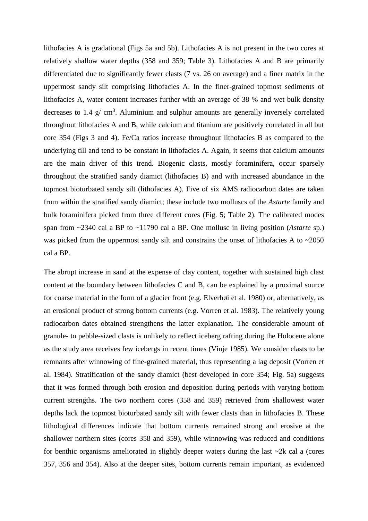lithofacies A is gradational (Figs 5a and 5b). Lithofacies A is not present in the two cores at relatively shallow water depths (358 and 359; Table 3). Lithofacies A and B are primarily differentiated due to significantly fewer clasts (7 vs. 26 on average) and a finer matrix in the uppermost sandy silt comprising lithofacies A. In the finer-grained topmost sediments of lithofacies A, water content increases further with an average of 38 % and wet bulk density decreases to 1.4  $g$ / cm<sup>3</sup>. Aluminium and sulphur amounts are generally inversely correlated throughout lithofacies A and B, while calcium and titanium are positively correlated in all but core 354 (Figs 3 and 4). Fe/Ca ratios increase throughout lithofacies B as compared to the underlying till and tend to be constant in lithofacies A. Again, it seems that calcium amounts are the main driver of this trend. Biogenic clasts, mostly foraminifera, occur sparsely throughout the stratified sandy diamict (lithofacies B) and with increased abundance in the topmost bioturbated sandy silt (lithofacies A). Five of six AMS radiocarbon dates are taken from within the stratified sandy diamict; these include two molluscs of the *Astarte* family and bulk foraminifera picked from three different cores (Fig. 5; Table 2). The calibrated modes span from ~2340 cal a BP to ~11790 cal a BP. One mollusc in living position (*Astarte* sp.) was picked from the uppermost sandy silt and constrains the onset of lithofacies A to  $\sim$ 2050 cal a BP.

The abrupt increase in sand at the expense of clay content, together with sustained high clast content at the boundary between lithofacies C and B, can be explained by a proximal source for coarse material in the form of a glacier front (e.g. Elverhøi et al. 1980) or, alternatively, as an erosional product of strong bottom currents (e.g. Vorren et al. 1983). The relatively young radiocarbon dates obtained strengthens the latter explanation. The considerable amount of granule- to pebble-sized clasts is unlikely to reflect iceberg rafting during the Holocene alone as the study area receives few icebergs in recent times (Vinje 1985). We consider clasts to be remnants after winnowing of fine-grained material, thus representing a lag deposit (Vorren et al. 1984). Stratification of the sandy diamict (best developed in core 354; Fig. 5a) suggests that it was formed through both erosion and deposition during periods with varying bottom current strengths. The two northern cores (358 and 359) retrieved from shallowest water depths lack the topmost bioturbated sandy silt with fewer clasts than in lithofacies B. These lithological differences indicate that bottom currents remained strong and erosive at the shallower northern sites (cores 358 and 359), while winnowing was reduced and conditions for benthic organisms ameliorated in slightly deeper waters during the last  $\sim$ 2k cal a (cores 357, 356 and 354). Also at the deeper sites, bottom currents remain important, as evidenced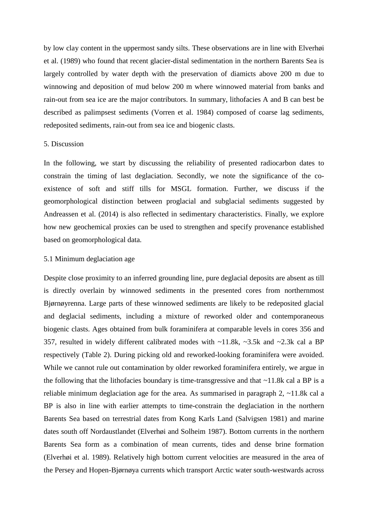by low clay content in the uppermost sandy silts. These observations are in line with Elverhøi et al. (1989) who found that recent glacier-distal sedimentation in the northern Barents Sea is largely controlled by water depth with the preservation of diamicts above 200 m due to winnowing and deposition of mud below 200 m where winnowed material from banks and rain-out from sea ice are the major contributors. In summary, lithofacies A and B can best be described as palimpsest sediments (Vorren et al. 1984) composed of coarse lag sediments, redeposited sediments, rain-out from sea ice and biogenic clasts.

#### 5. Discussion

In the following, we start by discussing the reliability of presented radiocarbon dates to constrain the timing of last deglaciation. Secondly, we note the significance of the coexistence of soft and stiff tills for MSGL formation. Further, we discuss if the geomorphological distinction between proglacial and subglacial sediments suggested by Andreassen et al. (2014) is also reflected in sedimentary characteristics. Finally, we explore how new geochemical proxies can be used to strengthen and specify provenance established based on geomorphological data.

#### 5.1 Minimum deglaciation age

Despite close proximity to an inferred grounding line, pure deglacial deposits are absent as till is directly overlain by winnowed sediments in the presented cores from northernmost Bjørnøyrenna. Large parts of these winnowed sediments are likely to be redeposited glacial and deglacial sediments, including a mixture of reworked older and contemporaneous biogenic clasts. Ages obtained from bulk foraminifera at comparable levels in cores 356 and 357, resulted in widely different calibrated modes with ~11.8k, ~3.5k and ~2.3k cal a BP respectively (Table 2). During picking old and reworked-looking foraminifera were avoided. While we cannot rule out contamination by older reworked foraminifera entirely, we argue in the following that the lithofacies boundary is time-transgressive and that  $\sim$ 11.8k cal a BP is a reliable minimum deglaciation age for the area. As summarised in paragraph 2, ~11.8k cal a BP is also in line with earlier attempts to time-constrain the deglaciation in the northern Barents Sea based on terrestrial dates from Kong Karls Land (Salvigsen 1981) and marine dates south off Nordaustlandet (Elverhøi and Solheim 1987). Bottom currents in the northern Barents Sea form as a combination of mean currents, tides and dense brine formation (Elverhøi et al. 1989). Relatively high bottom current velocities are measured in the area of the Persey and Hopen-Bjørnøya currents which transport Arctic water south-westwards across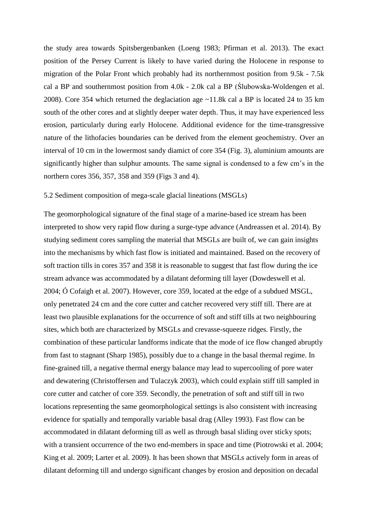the study area towards Spitsbergenbanken (Loeng 1983; Pfirman et al. 2013). The exact position of the Persey Current is likely to have varied during the Holocene in response to migration of the Polar Front which probably had its northernmost position from 9.5k - 7.5k cal a BP and southernmost position from 4.0k - 2.0k cal a BP (Ślubowska-Woldengen et al. 2008). Core 354 which returned the deglaciation age ~11.8k cal a BP is located 24 to 35 km south of the other cores and at slightly deeper water depth. Thus, it may have experienced less erosion, particularly during early Holocene. Additional evidence for the time-transgressive nature of the lithofacies boundaries can be derived from the element geochemistry. Over an interval of 10 cm in the lowermost sandy diamict of core 354 (Fig. 3), aluminium amounts are significantly higher than sulphur amounts. The same signal is condensed to a few cm's in the northern cores 356, 357, 358 and 359 (Figs 3 and 4).

#### 5.2 Sediment composition of mega-scale glacial lineations (MSGLs)

The geomorphological signature of the final stage of a marine-based ice stream has been interpreted to show very rapid flow during a surge-type advance (Andreassen et al. 2014). By studying sediment cores sampling the material that MSGLs are built of, we can gain insights into the mechanisms by which fast flow is initiated and maintained. Based on the recovery of soft traction tills in cores 357 and 358 it is reasonable to suggest that fast flow during the ice stream advance was accommodated by a dilatant deforming till layer (Dowdeswell et al. 2004; Ó Cofaigh et al. 2007). However, core 359, located at the edge of a subdued MSGL, only penetrated 24 cm and the core cutter and catcher recovered very stiff till. There are at least two plausible explanations for the occurrence of soft and stiff tills at two neighbouring sites, which both are characterized by MSGLs and crevasse-squeeze ridges. Firstly, the combination of these particular landforms indicate that the mode of ice flow changed abruptly from fast to stagnant (Sharp 1985), possibly due to a change in the basal thermal regime. In fine-grained till, a negative thermal energy balance may lead to supercooling of pore water and dewatering (Christoffersen and Tulaczyk 2003), which could explain stiff till sampled in core cutter and catcher of core 359. Secondly, the penetration of soft and stiff till in two locations representing the same geomorphological settings is also consistent with increasing evidence for spatially and temporally variable basal drag (Alley 1993). Fast flow can be accommodated in dilatant deforming till as well as through basal sliding over sticky spots; with a transient occurrence of the two end-members in space and time (Piotrowski et al. 2004; King et al. 2009; Larter et al. 2009). It has been shown that MSGLs actively form in areas of dilatant deforming till and undergo significant changes by erosion and deposition on decadal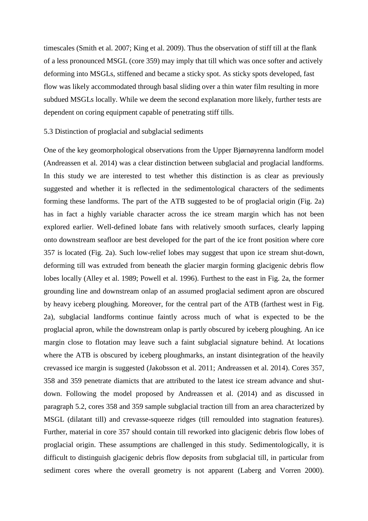timescales (Smith et al. 2007; King et al. 2009). Thus the observation of stiff till at the flank of a less pronounced MSGL (core 359) may imply that till which was once softer and actively deforming into MSGLs, stiffened and became a sticky spot. As sticky spots developed, fast flow was likely accommodated through basal sliding over a thin water film resulting in more subdued MSGLs locally. While we deem the second explanation more likely, further tests are dependent on coring equipment capable of penetrating stiff tills.

#### 5.3 Distinction of proglacial and subglacial sediments

One of the key geomorphological observations from the Upper Bjørnøyrenna landform model (Andreassen et al. 2014) was a clear distinction between subglacial and proglacial landforms. In this study we are interested to test whether this distinction is as clear as previously suggested and whether it is reflected in the sedimentological characters of the sediments forming these landforms. The part of the ATB suggested to be of proglacial origin (Fig. 2a) has in fact a highly variable character across the ice stream margin which has not been explored earlier. Well-defined lobate fans with relatively smooth surfaces, clearly lapping onto downstream seafloor are best developed for the part of the ice front position where core 357 is located (Fig. 2a). Such low-relief lobes may suggest that upon ice stream shut-down, deforming till was extruded from beneath the glacier margin forming glacigenic debris flow lobes locally (Alley et al. 1989; Powell et al. 1996). Furthest to the east in Fig. 2a, the former grounding line and downstream onlap of an assumed proglacial sediment apron are obscured by heavy iceberg ploughing. Moreover, for the central part of the ATB (farthest west in Fig. 2a), subglacial landforms continue faintly across much of what is expected to be the proglacial apron, while the downstream onlap is partly obscured by iceberg ploughing. An ice margin close to flotation may leave such a faint subglacial signature behind. At locations where the ATB is obscured by iceberg ploughmarks, an instant disintegration of the heavily crevassed ice margin is suggested (Jakobsson et al. 2011; Andreassen et al. 2014). Cores 357, 358 and 359 penetrate diamicts that are attributed to the latest ice stream advance and shutdown. Following the model proposed by Andreassen et al. (2014) and as discussed in paragraph 5.2, cores 358 and 359 sample subglacial traction till from an area characterized by MSGL (dilatant till) and crevasse-squeeze ridges (till remoulded into stagnation features). Further, material in core 357 should contain till reworked into glacigenic debris flow lobes of proglacial origin. These assumptions are challenged in this study. Sedimentologically, it is difficult to distinguish glacigenic debris flow deposits from subglacial till, in particular from sediment cores where the overall geometry is not apparent (Laberg and Vorren 2000).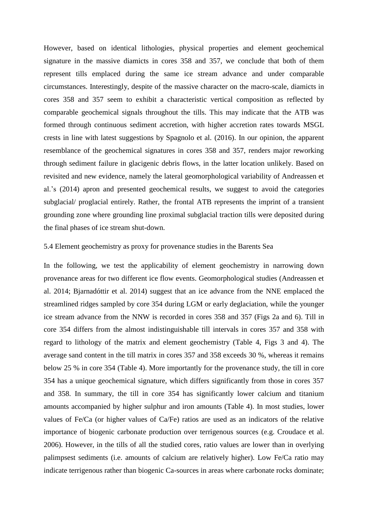However, based on identical lithologies, physical properties and element geochemical signature in the massive diamicts in cores 358 and 357, we conclude that both of them represent tills emplaced during the same ice stream advance and under comparable circumstances. Interestingly, despite of the massive character on the macro-scale, diamicts in cores 358 and 357 seem to exhibit a characteristic vertical composition as reflected by comparable geochemical signals throughout the tills. This may indicate that the ATB was formed through continuous sediment accretion, with higher accretion rates towards MSGL crests in line with latest suggestions by Spagnolo et al. (2016). In our opinion, the apparent resemblance of the geochemical signatures in cores 358 and 357, renders major reworking through sediment failure in glacigenic debris flows, in the latter location unlikely. Based on revisited and new evidence, namely the lateral geomorphological variability of Andreassen et al.'s (2014) apron and presented geochemical results, we suggest to avoid the categories subglacial/ proglacial entirely. Rather, the frontal ATB represents the imprint of a transient grounding zone where grounding line proximal subglacial traction tills were deposited during the final phases of ice stream shut-down.

#### 5.4 Element geochemistry as proxy for provenance studies in the Barents Sea

In the following, we test the applicability of element geochemistry in narrowing down provenance areas for two different ice flow events. Geomorphological studies (Andreassen et al. 2014; Bjarnadóttir et al. 2014) suggest that an ice advance from the NNE emplaced the streamlined ridges sampled by core 354 during LGM or early deglaciation, while the younger ice stream advance from the NNW is recorded in cores 358 and 357 (Figs 2a and 6). Till in core 354 differs from the almost indistinguishable till intervals in cores 357 and 358 with regard to lithology of the matrix and element geochemistry (Table 4, Figs 3 and 4). The average sand content in the till matrix in cores 357 and 358 exceeds 30 %, whereas it remains below 25 % in core 354 (Table 4). More importantly for the provenance study, the till in core 354 has a unique geochemical signature, which differs significantly from those in cores 357 and 358. In summary, the till in core 354 has significantly lower calcium and titanium amounts accompanied by higher sulphur and iron amounts (Table 4). In most studies, lower values of Fe/Ca (or higher values of Ca/Fe) ratios are used as an indicators of the relative importance of biogenic carbonate production over terrigenous sources (e.g. Croudace et al. 2006). However, in the tills of all the studied cores, ratio values are lower than in overlying palimpsest sediments (i.e. amounts of calcium are relatively higher). Low Fe/Ca ratio may indicate terrigenous rather than biogenic Ca-sources in areas where carbonate rocks dominate;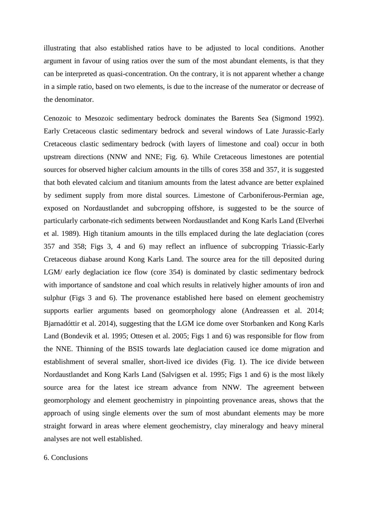illustrating that also established ratios have to be adjusted to local conditions. Another argument in favour of using ratios over the sum of the most abundant elements, is that they can be interpreted as quasi-concentration. On the contrary, it is not apparent whether a change in a simple ratio, based on two elements, is due to the increase of the numerator or decrease of the denominator.

Cenozoic to Mesozoic sedimentary bedrock dominates the Barents Sea (Sigmond 1992). Early Cretaceous clastic sedimentary bedrock and several windows of Late Jurassic-Early Cretaceous clastic sedimentary bedrock (with layers of limestone and coal) occur in both upstream directions (NNW and NNE; Fig. 6). While Cretaceous limestones are potential sources for observed higher calcium amounts in the tills of cores 358 and 357, it is suggested that both elevated calcium and titanium amounts from the latest advance are better explained by sediment supply from more distal sources. Limestone of Carboniferous-Permian age, exposed on Nordaustlandet and subcropping offshore, is suggested to be the source of particularly carbonate-rich sediments between Nordaustlandet and Kong Karls Land (Elverhøi et al. 1989). High titanium amounts in the tills emplaced during the late deglaciation (cores 357 and 358; Figs 3, 4 and 6) may reflect an influence of subcropping Triassic-Early Cretaceous diabase around Kong Karls Land. The source area for the till deposited during LGM/ early deglaciation ice flow (core 354) is dominated by clastic sedimentary bedrock with importance of sandstone and coal which results in relatively higher amounts of iron and sulphur (Figs 3 and 6). The provenance established here based on element geochemistry supports earlier arguments based on geomorphology alone (Andreassen et al. 2014; Bjarnadóttir et al. 2014), suggesting that the LGM ice dome over Storbanken and Kong Karls Land (Bondevik et al. 1995; Ottesen et al. 2005; Figs 1 and 6) was responsible for flow from the NNE. Thinning of the BSIS towards late deglaciation caused ice dome migration and establishment of several smaller, short-lived ice divides (Fig. 1). The ice divide between Nordaustlandet and Kong Karls Land (Salvigsen et al. 1995; Figs 1 and 6) is the most likely source area for the latest ice stream advance from NNW. The agreement between geomorphology and element geochemistry in pinpointing provenance areas, shows that the approach of using single elements over the sum of most abundant elements may be more straight forward in areas where element geochemistry, clay mineralogy and heavy mineral analyses are not well established.

## 6. Conclusions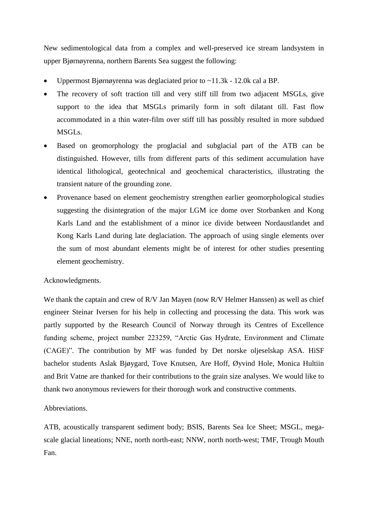New sedimentological data from a complex and well-preserved ice stream landsystem in upper Bjørnøyrenna, northern Barents Sea suggest the following:

- Uppermost Bjørnøyrenna was deglaciated prior to ~11.3k 12.0k cal a BP.
- The recovery of soft traction till and very stiff till from two adjacent MSGLs, give support to the idea that MSGLs primarily form in soft dilatant till. Fast flow accommodated in a thin water-film over stiff till has possibly resulted in more subdued MSGLs.
- Based on geomorphology the proglacial and subglacial part of the ATB can be distinguished. However, tills from different parts of this sediment accumulation have identical lithological, geotechnical and geochemical characteristics, illustrating the transient nature of the grounding zone.
- Provenance based on element geochemistry strengthen earlier geomorphological studies suggesting the disintegration of the major LGM ice dome over Storbanken and Kong Karls Land and the establishment of a minor ice divide between Nordaustlandet and Kong Karls Land during late deglaciation. The approach of using single elements over the sum of most abundant elements might be of interest for other studies presenting element geochemistry.

# Acknowledgments.

We thank the captain and crew of R/V Jan Mayen (now R/V Helmer Hanssen) as well as chief engineer Steinar Iversen for his help in collecting and processing the data. This work was partly supported by the Research Council of Norway through its Centres of Excellence funding scheme, project number 223259, "Arctic Gas Hydrate, Environment and Climate (CAGE)". The contribution by MF was funded by Det norske oljeselskap ASA. HiSF bachelor students Aslak Bjøygard, Tove Knutsen, Are Hoff, Øyvind Hole, Monica Hultiin and Brit Vatne are thanked for their contributions to the grain size analyses. We would like to thank two anonymous reviewers for their thorough work and constructive comments.

### Abbreviations.

ATB, acoustically transparent sediment body; BSIS, Barents Sea Ice Sheet; MSGL, megascale glacial lineations; NNE, north north-east; NNW, north north-west; TMF, Trough Mouth Fan.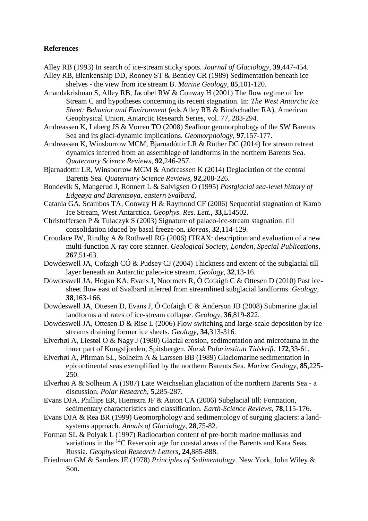## **References**

Alley RB (1993) In search of ice-stream sticky spots. *Journal of Glaciology*, **39**,447-454.

- Alley RB, Blankenship DD, Rooney ST & Bentley CR (1989) Sedimentation beneath ice shelves - the view from ice stream B. *Marine Geology*, **85**,101-120.
- Anandakrishnan S, Alley RB, Jacobel RW & Conway H (2001) The flow regime of Ice Stream C and hypotheses concerning its recent stagnation. In: *The West Antarctic Ice Sheet: Behavior and Environment* (eds Alley RB & Bindschadler RA), American Geophysical Union, Antarctic Research Series, vol. 77, 283-294.
- Andreassen K, Laberg JS & Vorren TO (2008) Seafloor geomorphology of the SW Barents Sea and its glaci-dynamic implications. *Geomorphology*, **97**,157-177.
- Andreassen K, Winsborrow MCM, Bjarnadóttir LR & Rüther DC (2014) Ice stream retreat dynamics inferred from an assemblage of landforms in the northern Barents Sea. *Quaternary Science Reviews*, **92**,246-257.
- Bjarnadóttir LR, Winsborrow MCM & Andreassen K (2014) Deglaciation of the central Barents Sea. *Quaternary Science Reviews*, **92**,208-226.
- Bondevik S, Mangerud J, Ronnert L & Salvigsen O (1995) *Postglacial sea-level history of Edgeøya and Barentsøya, eastern Svalbard*.
- Catania GA, Scambos TA, Conway H & Raymond CF (2006) Sequential stagnation of Kamb Ice Stream, West Antarctica. *Geophys. Res. Lett.*, **33**,L14502.
- Christoffersen P & Tulaczyk S (2003) Signature of palaeo-ice-stream stagnation: till consolidation iduced by basal freeze-on. *Boreas*, **32**,114-129.
- Croudace IW, Rindby A & Rothwell RG (2006) ITRAX: description and evaluation of a new multi-function X-ray core scanner. *Geological Society, London, Special Publications*, **267**,51-63.
- Dowdeswell JA, Cofaigh CÓ & Pudsey CJ (2004) Thickness and extent of the subglacial till layer beneath an Antarctic paleo-ice stream. *Geology*, **32**,13-16.
- Dowdeswell JA, Hogan KA, Evans J, Noormets R, Ó Cofaigh C & Ottesen D (2010) Past icesheet flow east of Svalbard inferred from streamlined subglacial landforms. *Geology*, **38**,163-166.
- Dowdeswell JA, Ottesen D, Evans J, Ó Cofaigh C & Anderson JB (2008) Submarine glacial landforms and rates of ice-stream collapse. *Geology*, **36**,819-822.
- Dowdeswell JA, Ottesen D & Rise L (2006) Flow switching and large-scale deposition by ice streams draining former ice sheets. *Geology*, **34**,313-316.
- Elverhøi A, Liestøl O & Nagy J (1980) Glacial erosion, sedimentation and microfauna in the inner part of Kongsfjorden, Spitsbergen. *Norsk Polarinstitutt Tidskrift*, **172**,33-61.
- Elverhøi A, Pfirman SL, Solheim A & Larssen BB (1989) Glaciomarine sedimentation in epicontinental seas exemplified by the northern Barents Sea. *Marine Geology*, **85**,225- 250.
- Elverhøi A & Solheim A (1987) Late Weichselian glaciation of the northern Barents Sea a discussion. *Polar Research*, **5**,285-287.
- Evans DJA, Phillips ER, Hiemstra JF & Auton CA (2006) Subglacial till: Formation, sedimentary characteristics and classification. *Earth-Science Reviews*, **78**,115-176.
- Evans DJA & Rea BR (1999) Geomorphology and sedimentology of surging glaciers: a landsystems approach. *Annals of Glaciology*, **28**,75-82.
- Forman SL & Polyak L (1997) Radiocarbon content of pre-bomb marine mollusks and variations in the <sup>14</sup>C Reservoir age for coastal areas of the Barents and Kara Seas, Russia. *Geophysical Research Letters*, **24**,885-888.
- Friedman GM & Sanders JE (1978) *Principles of Sedimentology*. New York, John Wiley & Son.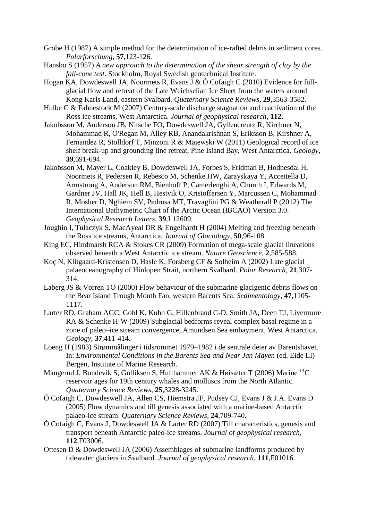- Grobe H (1987) A simple method for the determination of ice-rafted debris in sediment cores. *Polarforschung*, **57**,123-126.
- Hansbo S (1957) *A new approach to the determination of the shear strength of clay by the fall-cone test*. Stockholm, Royal Swedish geotechnical Institute.
- Hogan KA, Dowdeswell JA, Noormets R, Evans J & Ó Cofaigh C (2010) Evidence for fullglacial flow and retreat of the Late Weichselian Ice Sheet from the waters around Kong Karls Land, eastern Svalbard. *Quaternary Science Reviews*, **29**,3563-3582.
- Hulbe C & Fahnestock M (2007) Century-scale discharge stagnation and reactivation of the Ross ice streams, West Antarctica. *Journal of geophysical research*, **112**.
- Jakobsson M, Anderson JB, Nitsche FO, Dowdeswell JA, Gyllencreutz R, Kirchner N, Mohammad R, O'Regan M, Alley RB, Anandakrishnan S, Eriksson B, Kirshner A, Fernandez R, Stolldorf T, Minzoni R & Majewski W (2011) Geological record of ice shelf break-up and grounding line retreat, Pine Island Bay, West Antarctica. *Geology*, **39**,691-694.
- Jakobsson M, Mayer L, Coakley B, Dowdeswell JA, Forbes S, Fridman B, Hodnesdal H, Noormets R, Pedersen R, Rebesco M, Schenke HW, Zarayskaya Y, Accettella D, Armstrong A, Anderson RM, Bienhoff P, Camerlenghi A, Church I, Edwards M, Gardner JV, Hall JK, Hell B, Hestvik O, Kristoffersen Y, Marcussen C, Mohammad R, Mosher D, Nghiem SV, Pedrosa MT, Travaglini PG & Weatherall P (2012) The International Bathymetric Chart of the Arctic Ocean (IBCAO) Version 3.0. *Geophysical Research Letters*, **39**,L12609.
- Joughin I, Tulaczyk S, MacAyeal DR & Engelhardt H (2004) Melting and freezing beneath the Ross ice streams, Antarctica. *Journal of Glaciology*, **50**,96-108.
- King EC, Hindmarsh RCA & Stokes CR (2009) Formation of mega-scale glacial lineations observed beneath a West Antarctic ice stream. *Nature Geoscience*, **2**,585-588.
- Koç N, Klitgaard-Kristensen D, Hasle K, Forsberg CF & Solheim A (2002) Late glacial palaeoceanography of Hinlopen Strait, northern Svalbard. *Polar Research*, **21**,307- 314.
- Laberg JS & Vorren TO (2000) Flow behaviour of the submarine glacigenic debris flows on the Bear Island Trough Mouth Fan, western Barents Sea. *Sedimentology*, **47**,1105- 1117.
- Larter RD, Graham AGC, Gohl K, Kuhn G, Hillenbrand C-D, Smith JA, Deen TJ, Livermore RA & Schenke H-W (2009) Subglacial bedforms reveal complex basal regime in a zone of paleo–ice stream convergence, Amundsen Sea embayment, West Antarctica. *Geology*, **37**,411-414.
- Loeng H (1983) Strømmålinger i tidsrommet 1979–1982 i de sentrale deter av Barentshavet. In: *Environmental Conditions in the Barents Sea and Near Jan Mayen* (ed. Eide LI) Bergen, Institute of Marine Research.
- Mangerud J, Bondevik S, Gulliksen S, Hufthammer AK & Høisæter T (2006) Marine <sup>14</sup>C reservoir ages for 19th century whales and molluscs from the North Atlantic. *Quaternary Science Reviews*, **25**,3228-3245.
- Ó Cofaigh C, Dowdeswell JA, Allen CS, Hiemstra JF, Pudsey CJ, Evans J & J.A. Evans D (2005) Flow dynamics and till genesis associated with a marine-based Antarctic palaeo-ice stream. *Quaternary Science Reviews*, **24**,709-740.
- Ó Cofaigh C, Evans J, Dowdeswell JA & Larter RD (2007) Till characteristics, genesis and transport beneath Antarctic paleo-ice streams. *Journal of geophysical research*, **112**,F03006.
- Ottesen D & Dowdeswell JA (2006) Assemblages of submarine landforms produced by tidewater glaciers in Svalbard. *Journal of geophysical research*, **111**,F01016.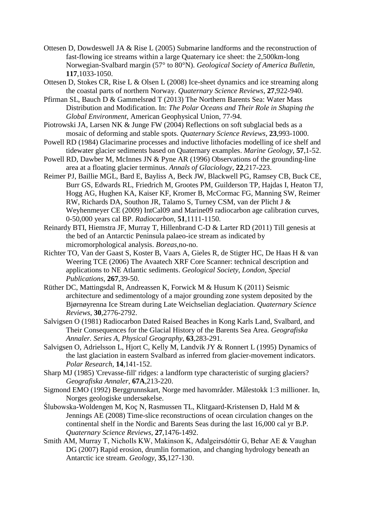- Ottesen D, Dowdeswell JA & Rise L (2005) Submarine landforms and the reconstruction of fast-flowing ice streams within a large Quaternary ice sheet: the 2,500km-long Norwegian-Svalbard margin (57° to 80°N). *Geological Society of America Bulletin*, **117**,1033-1050.
- Ottesen D, Stokes CR, Rise L & Olsen L (2008) Ice-sheet dynamics and ice streaming along the coastal parts of northern Norway. *Quaternary Science Reviews*, **27**,922-940.
- Pfirman SL, Bauch D & Gammelsrød T (2013) The Northern Barents Sea: Water Mass Distribution and Modification. In: *The Polar Oceans and Their Role in Shaping the Global Environment*, American Geophysical Union, 77-94.
- Piotrowski JA, Larsen NK & Junge FW (2004) Reflections on soft subglacial beds as a mosaic of deforming and stable spots. *Quaternary Science Reviews*, **23**,993-1000.
- Powell RD (1984) Glacimarine processes and inductive lithofacies modelling of ice shelf and tidewater glacier sediments based on Quaternary examples. *Marine Geology*, **57**,1-52.
- Powell RD, Dawber M, McInnes JN & Pyne AR (1996) Observations of the grounding-line area at a floating glacier terminus. *Annals of Glaciology*, **22**,217-223.
- Reimer PJ, Baillie MGL, Bard E, Bayliss A, Beck JW, Blackwell PG, Ramsey CB, Buck CE, Burr GS, Edwards RL, Friedrich M, Grootes PM, Guilderson TP, Hajdas I, Heaton TJ, Hogg AG, Hughen KA, Kaiser KF, Kromer B, McCormac FG, Manning SW, Reimer RW, Richards DA, Southon JR, Talamo S, Turney CSM, van der Plicht J & Weyhenmeyer CE (2009) IntCal09 and Marine09 radiocarbon age calibration curves, 0-50,000 years cal BP. *Radiocarbon*, **51**,1111-1150.
- Reinardy BTI, Hiemstra JF, Murray T, Hillenbrand C-D & Larter RD (2011) Till genesis at the bed of an Antarctic Peninsula palaeo-ice stream as indicated by micromorphological analysis. *Boreas*,no-no.
- Richter TO, Van der Gaast S, Koster B, Vaars A, Gieles R, de Stigter HC, De Haas H & van Weering TCE (2006) The Avaatech XRF Core Scanner: technical description and applications to NE Atlantic sediments. *Geological Society, London, Special Publications*, **267**,39-50.
- Rüther DC, Mattingsdal R, Andreassen K, Forwick M & Husum K (2011) Seismic architecture and sedimentology of a major grounding zone system deposited by the Bjørnøyrenna Ice Stream during Late Weichselian deglaciation. *Quaternary Science Reviews*, **30**,2776-2792.
- Salvigsen O (1981) Radiocarbon Dated Raised Beaches in Kong Karls Land, Svalbard, and Their Consequences for the Glacial History of the Barents Sea Area. *Geografiska Annaler. Series A, Physical Geography*, **63**,283-291.
- Salvigsen O, Adrielsson L, Hjort C, Kelly M, Landvik JY & Ronnert L (1995) Dynamics of the last glaciation in eastern Svalbard as inferred from glacier-movement indicators. *Polar Research*, **14**,141-152.
- Sharp MJ (1985) 'Crevasse-fill' ridges: a landform type characteristic of surging glaciers? *Geografiska Annaler*, **67A**,213-220.
- Sigmond EMO (1992) Berggrunnskart, Norge med havområder. Målestokk 1:3 millioner. In, Norges geologiske undersøkelse.
- Ślubowska-Woldengen M, Koç N, Rasmussen TL, Klitgaard-Kristensen D, Hald M & Jennings AE (2008) Time-slice reconstructions of ocean circulation changes on the continental shelf in the Nordic and Barents Seas during the last 16,000 cal yr B.P. *Quaternary Science Reviews*, **27**,1476-1492.
- Smith AM, Murray T, Nicholls KW, Makinson K, Ađalgeirsdóttir G, Behar AE & Vaughan DG (2007) Rapid erosion, drumlin formation, and changing hydrology beneath an Antarctic ice stream. *Geology*, **35**,127-130.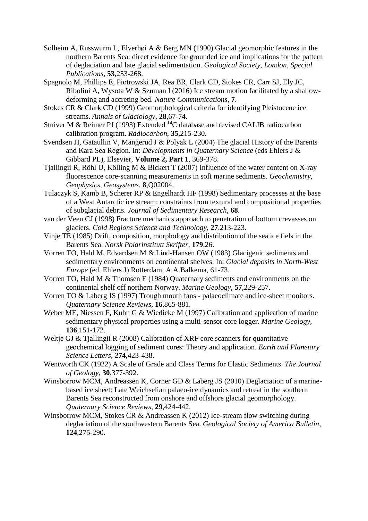- Solheim A, Russwurm L, Elverhøi A & Berg MN (1990) Glacial geomorphic features in the northern Barents Sea: direct evidence for grounded ice and implications for the pattern of deglaciation and late glacial sedimentation. *Geological Society, London, Special Publications*, **53**,253-268.
- Spagnolo M, Phillips E, Piotrowski JA, Rea BR, Clark CD, Stokes CR, Carr SJ, Ely JC, Ribolini A, Wysota W & Szuman I (2016) Ice stream motion facilitated by a shallowdeforming and accreting bed. *Nature Communications*, **7**.
- Stokes CR & Clark CD (1999) Geomorphological criteria for identifying Pleistocene ice streams. *Annals of Glaciology*, **28**,67-74.
- Stuiver M & Reimer PJ (1993) Extended <sup>14</sup>C database and revised CALIB radiocarbon calibration program. *Radiocarbon*, **35**,215-230.
- Svendsen JI, Gataullin V, Mangerud J & Polyak L (2004) The glacial History of the Barents and Kara Sea Region. In: *Developments in Quaternary Science* (eds Ehlers J & Gibbard PL), Elsevier, **Volume 2, Part 1**, 369-378.
- Tjallingii R, Röhl U, Kölling M & Bickert T (2007) Influence of the water content on X-ray fluorescence core-scanning measurements in soft marine sediments. *Geochemistry, Geophysics, Geosystems*, **8**,Q02004.
- Tulaczyk S, Kamb B, Scherer RP & Engelhardt HF (1998) Sedimentary processes at the base of a West Antarctic ice stream: constraints from textural and compositional properties of subglacial debris. *Journal of Sedimentary Research*, **68**.
- van der Veen CJ (1998) Fracture mechanics approach to penetration of bottom crevasses on glaciers. *Cold Regions Science and Technology*, **27**,213-223.
- Vinje TE (1985) Drift, composition, morphology and distribution of the sea ice fiels in the Barents Sea. *Norsk Polarinstitutt Skrifter*, **179**,26.
- Vorren TO, Hald M, Edvardsen M & Lind-Hansen OW (1983) Glacigenic sediments and sedimentary environments on continental shelves. In: *Glacial deposits in North-West Europe* (ed. Ehlers J) Rotterdam, A.A.Balkema, 61-73.
- Vorren TO, Hald M & Thomsen E (1984) Quaternary sediments and environments on the continental shelf off northern Norway. *Marine Geology*, **57**,229-257.
- Vorren TO & Laberg JS (1997) Trough mouth fans palaeoclimate and ice-sheet monitors. *Quaternary Science Reviews*, **16**,865-881.
- Weber ME, Niessen F, Kuhn G & Wiedicke M (1997) Calibration and application of marine sedimentary physical properties using a multi-sensor core logger. *Marine Geology*, **136**,151-172.
- Weltje GJ & Tjallingii R (2008) Calibration of XRF core scanners for quantitative geochemical logging of sediment cores: Theory and application. *Earth and Planetary Science Letters*, **274**,423-438.
- Wentworth CK (1922) A Scale of Grade and Class Terms for Clastic Sediments. *The Journal of Geology*, **30**,377-392.
- Winsborrow MCM, Andreassen K, Corner GD & Laberg JS (2010) Deglaciation of a marinebased ice sheet: Late Weichselian palaeo-ice dynamics and retreat in the southern Barents Sea reconstructed from onshore and offshore glacial geomorphology. *Quaternary Science Reviews*, **29**,424-442.
- Winsborrow MCM, Stokes CR & Andreassen K (2012) Ice-stream flow switching during deglaciation of the southwestern Barents Sea. *Geological Society of America Bulletin*, **124**,275-290.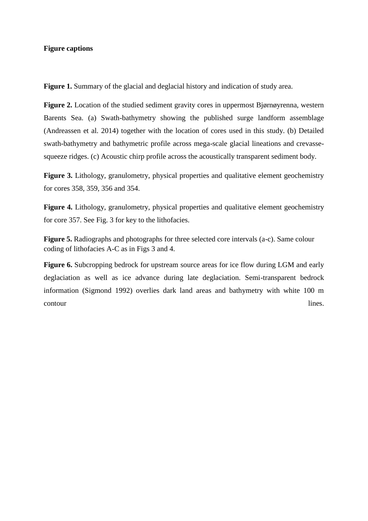#### **Figure captions**

Figure 1. Summary of the glacial and deglacial history and indication of study area.

**Figure 2.** Location of the studied sediment gravity cores in uppermost Bjørnøyrenna, western Barents Sea. (a) Swath-bathymetry showing the published surge landform assemblage (Andreassen et al. 2014) together with the location of cores used in this study. (b) Detailed swath-bathymetry and bathymetric profile across mega-scale glacial lineations and crevassesqueeze ridges. (c) Acoustic chirp profile across the acoustically transparent sediment body.

Figure 3. Lithology, granulometry, physical properties and qualitative element geochemistry for cores 358, 359, 356 and 354.

Figure 4. Lithology, granulometry, physical properties and qualitative element geochemistry for core 357. See Fig. 3 for key to the lithofacies.

**Figure 5.** Radiographs and photographs for three selected core intervals (a-c). Same colour coding of lithofacies A-C as in Figs 3 and 4.

Figure 6. Subcropping bedrock for upstream source areas for ice flow during LGM and early deglaciation as well as ice advance during late deglaciation. Semi-transparent bedrock information (Sigmond 1992) overlies dark land areas and bathymetry with white 100 m contour lines.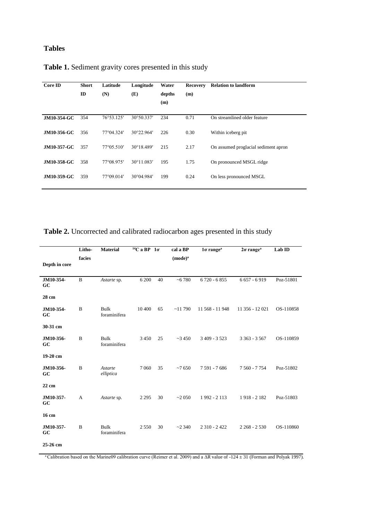# **Tables**

| Core ID            | <b>Short</b><br>ID | Latitude<br>(N)     | Longitude<br>(E)    | Water<br>depths<br>(m) | <b>Recovery</b><br>(m) | <b>Relation to landform</b>          |
|--------------------|--------------------|---------------------|---------------------|------------------------|------------------------|--------------------------------------|
| <b>JM10-354-GC</b> | 354                | 76°53.125'          | $30^{\circ}50.337'$ | 234                    | 0.71                   | On streamlined older feature         |
| JM10-356-GC        | 356                | 77°04.324'          | 30°22.964'          | 226                    | 0.30                   | Within iceberg pit.                  |
| JM10-357-GC        | 357                | $77^{\circ}05.510'$ | 30°18.489'          | 215                    | 2.17                   | On assumed proglacial sediment apron |
| <b>JM10-358-GC</b> | 358                | 77°08.975'          | $30^{\circ}11.083'$ | 195                    | 1.75                   | On pronounced MSGL ridge             |
| JM10-359-GC        | 359                | 77°09.014'          | 30°04.984'          | 199                    | 0.24                   | On less pronounced MSGL              |

# **Table 1.** Sediment gravity cores presented in this study

**Table 2.** Uncorrected and calibrated radiocarbon ages presented in this study

|                 | Litho-      | <b>Material</b>             | $14C$ a BP $1\sigma$ |    | cal a BP      | 10 range <sup>a</sup> | 20 range <sup>a</sup> | Lab ID    |
|-----------------|-------------|-----------------------------|----------------------|----|---------------|-----------------------|-----------------------|-----------|
|                 | facies      |                             |                      |    | $(mod e)^{a}$ |                       |                       |           |
| Depth in core   |             |                             |                      |    |               |                       |                       |           |
| JM10-354-<br>GC | $\mathbf B$ | Astarte sp.                 | 6 200                | 40 | ~16780        | $6720 - 6855$         | $6657 - 6919$         | Poz-51801 |
| 28 cm           |             |                             |                      |    |               |                       |                       |           |
| JM10-354-<br>GC | B           | <b>Bulk</b><br>foraminifera | 10 400               | 65 | ~11790        | 11 568 - 11 948       | 11 356 - 12 021       | OS-110858 |
| 30-31 cm        |             |                             |                      |    |               |                       |                       |           |
| JM10-356-<br>GC | $\bf{B}$    | <b>Bulk</b><br>foraminifera | 3 4 5 0              | 25 | ~23450        | $3409 - 3523$         | $3363 - 3567$         | OS-110859 |
| 19-20 cm        |             |                             |                      |    |               |                       |                       |           |
| JM10-356-<br>GC | $\mathbf B$ | Astarte<br>elliptica        | 7 0 6 0              | 35 | $~10-7650$    | 7 591 - 7 686         | 7 560 - 7 754         | Poz-51802 |
| 22 cm           |             |                             |                      |    |               |                       |                       |           |
| JM10-357-<br>GC | A           | Astarte sp.                 | 2 2 9 5              | 30 | ~2050         | 1992 - 2113           | 1918 - 2182           | Poz-51803 |
| 16 cm           |             |                             |                      |    |               |                       |                       |           |
| JM10-357-<br>GC | $\bf{B}$    | <b>Bulk</b><br>foraminifera | 2 5 5 0              | 30 | ~2340         | $2310 - 2422$         | $2268 - 2530$         | OS-110860 |
| 25-26 cm        |             |                             |                      |    |               |                       |                       |           |

<sup>a</sup>Calibration based on the Marine09 calibration curve (Reimer et al. 2009) and a ΔR value of -124 ± 31 (Forman and Polyak 1997).